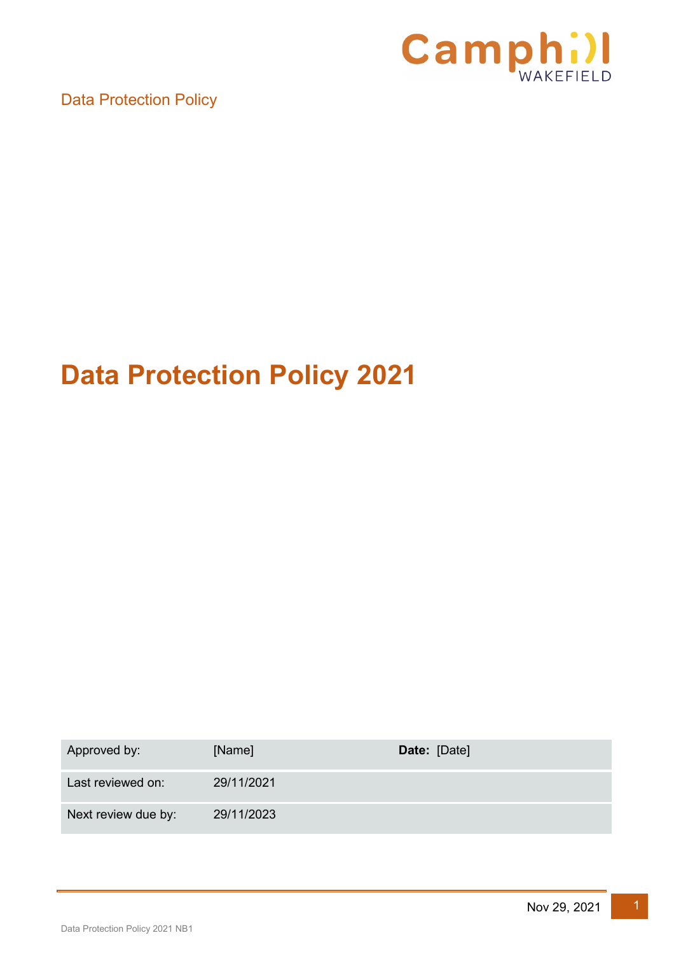

# **Data Protection Policy 2021**

| Approved by:        | [Name]     | Date: [Date] |
|---------------------|------------|--------------|
| Last reviewed on:   | 29/11/2021 |              |
| Next review due by: | 29/11/2023 |              |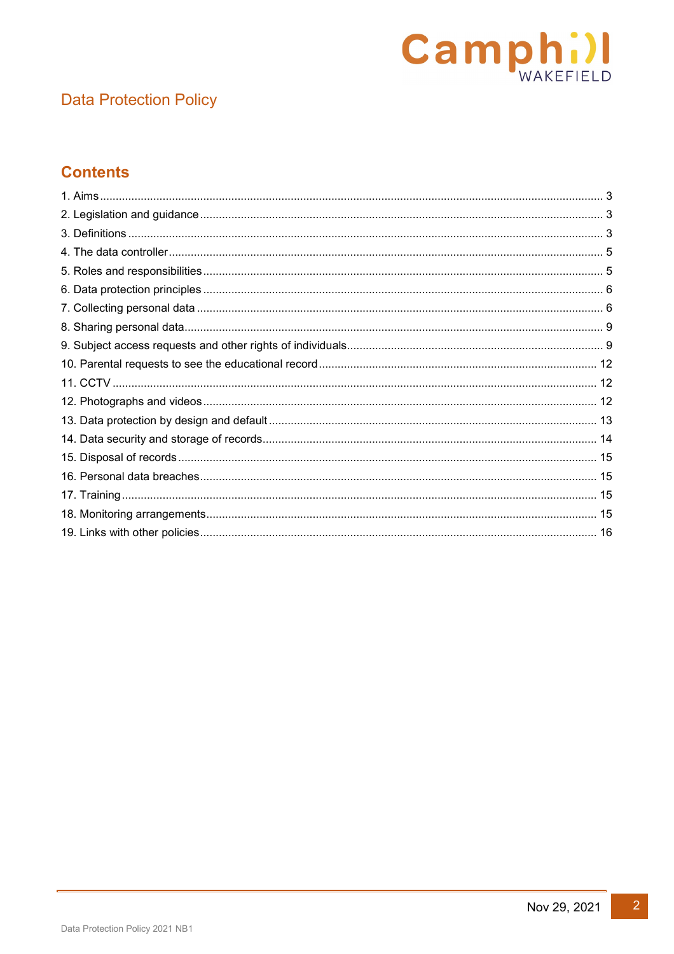

# **Contents**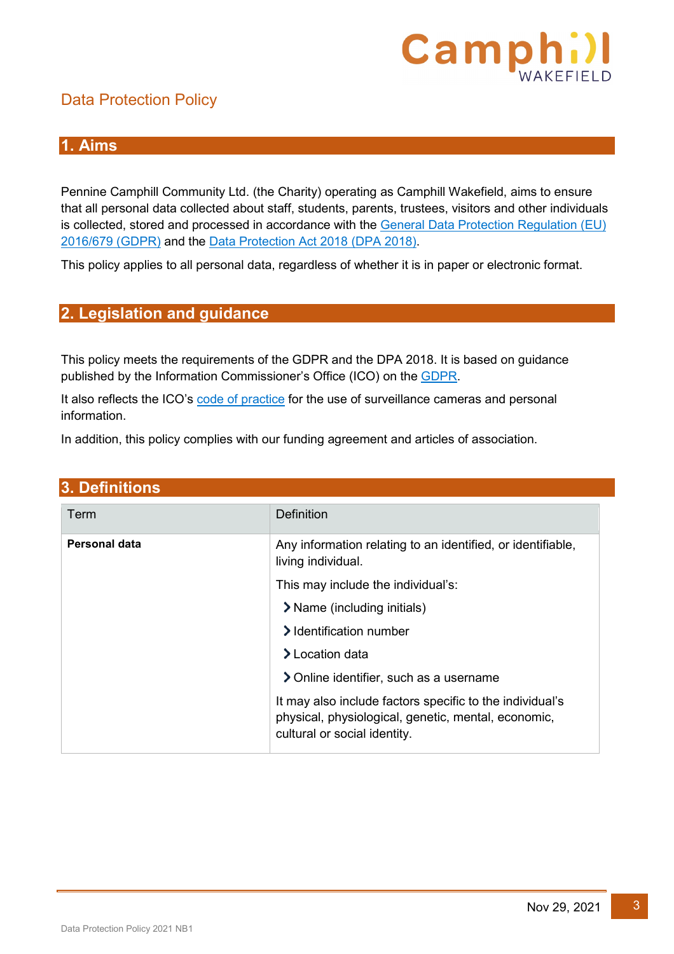

#### <span id="page-2-0"></span>**1. Aims**

Pennine Camphill Community Ltd. (the Charity) operating as Camphill Wakefield, aims to ensure that all personal data collected about staff, students, parents, trustees, visitors and other individuals is collected, stored and processed in accordance with the [General Data Protection Regulation](https://eur-lex.europa.eu/legal-content/EN/TXT/?qid=1528874672298&uri=CELEX:02016R0679-20160504) (EU) [2016/679](https://eur-lex.europa.eu/legal-content/EN/TXT/?qid=1528874672298&uri=CELEX:02016R0679-20160504) (GDPR) and the [Data Protection Act 2018 \(DPA 2018\).](http://www.legislation.gov.uk/ukpga/2018/12/contents/enacted)

This policy applies to all personal data, regardless of whether it is in paper or electronic format.

#### <span id="page-2-1"></span>**2. Legislation and guidance**

This policy meets the requirements of the GDPR and the DPA 2018. It is based on guidance published by the Information Commissioner's Office (ICO) on the **GDPR**.

It also reflects the ICO's [code of practice](https://ico.org.uk/media/for-organisations/documents/1542/cctv-code-of-practice.pdf) for the use of surveillance cameras and personal information.

In addition, this policy complies with our funding agreement and articles of association.

<span id="page-2-2"></span>

| 3. Definitions                                                                                                                                  |  |  |
|-------------------------------------------------------------------------------------------------------------------------------------------------|--|--|
| <b>Definition</b>                                                                                                                               |  |  |
| Any information relating to an identified, or identifiable,<br>living individual.                                                               |  |  |
| This may include the individual's:                                                                                                              |  |  |
| > Name (including initials)                                                                                                                     |  |  |
| > Identification number                                                                                                                         |  |  |
| $\blacktriangleright$ Location data                                                                                                             |  |  |
| > Online identifier, such as a username                                                                                                         |  |  |
| It may also include factors specific to the individual's<br>physical, physiological, genetic, mental, economic,<br>cultural or social identity. |  |  |
|                                                                                                                                                 |  |  |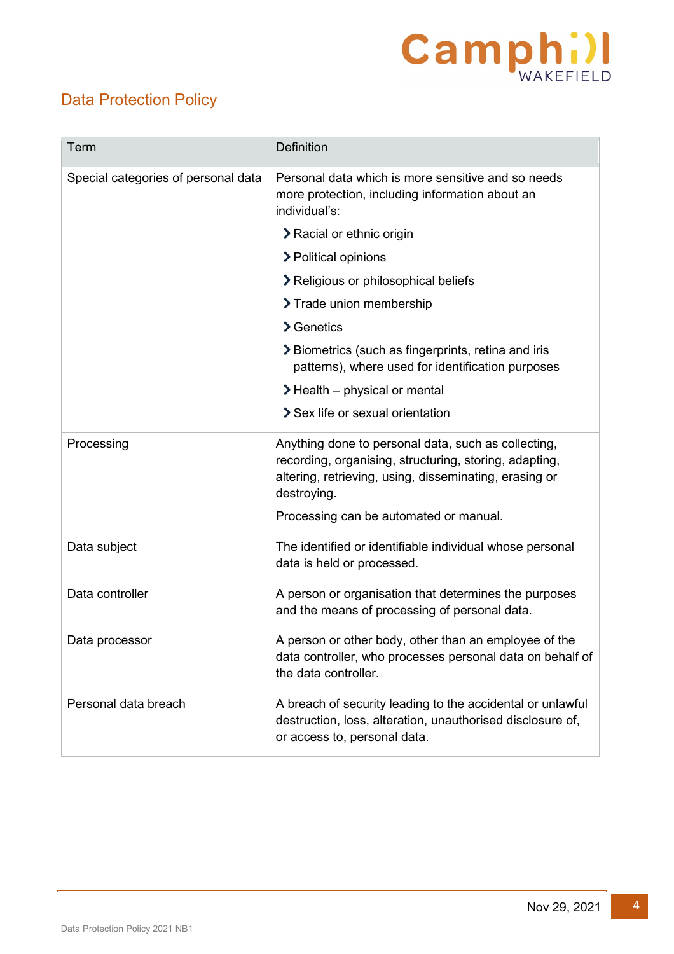# **Camphill**

# Data Protection Policy

| Term                                | Definition                                                                                                                                                                             |
|-------------------------------------|----------------------------------------------------------------------------------------------------------------------------------------------------------------------------------------|
| Special categories of personal data | Personal data which is more sensitive and so needs<br>more protection, including information about an<br>individual's:                                                                 |
|                                     | > Racial or ethnic origin                                                                                                                                                              |
|                                     | > Political opinions                                                                                                                                                                   |
|                                     | > Religious or philosophical beliefs                                                                                                                                                   |
|                                     | > Trade union membership                                                                                                                                                               |
|                                     | $\sum$ Genetics                                                                                                                                                                        |
|                                     | > Biometrics (such as fingerprints, retina and iris<br>patterns), where used for identification purposes                                                                               |
|                                     | $\blacktriangleright$ Health – physical or mental                                                                                                                                      |
|                                     | Sex life or sexual orientation                                                                                                                                                         |
| Processing                          | Anything done to personal data, such as collecting,<br>recording, organising, structuring, storing, adapting,<br>altering, retrieving, using, disseminating, erasing or<br>destroying. |
|                                     | Processing can be automated or manual.                                                                                                                                                 |
| Data subject                        | The identified or identifiable individual whose personal<br>data is held or processed.                                                                                                 |
| Data controller                     | A person or organisation that determines the purposes<br>and the means of processing of personal data.                                                                                 |
| Data processor                      | A person or other body, other than an employee of the<br>data controller, who processes personal data on behalf of<br>the data controller.                                             |
| Personal data breach                | A breach of security leading to the accidental or unlawful<br>destruction, loss, alteration, unauthorised disclosure of,<br>or access to, personal data.                               |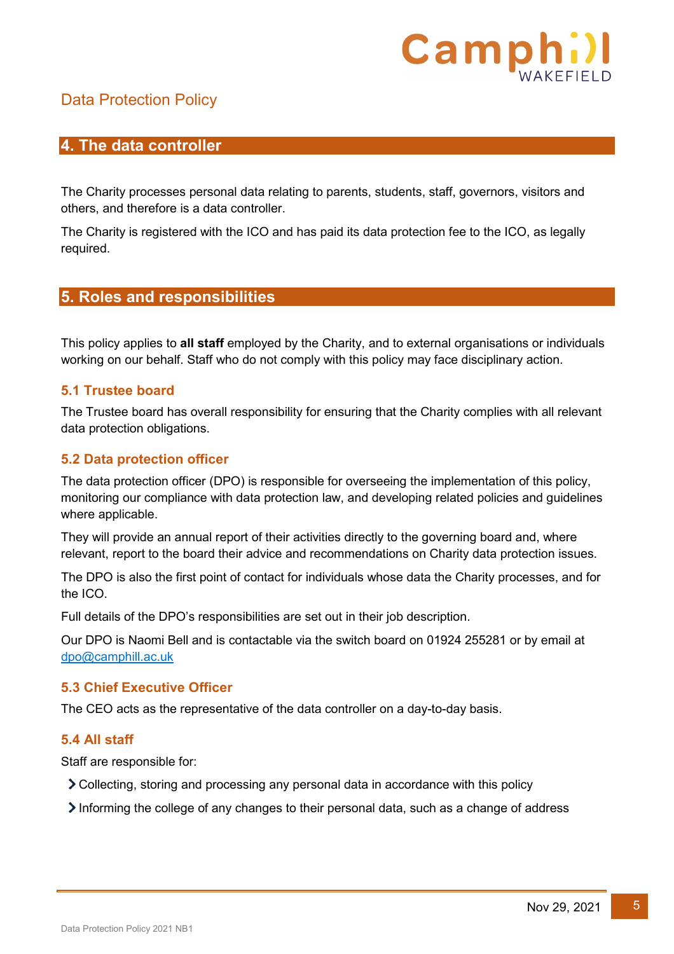

#### <span id="page-4-0"></span>**4. The data controller**

The Charity processes personal data relating to parents, students, staff, governors, visitors and others, and therefore is a data controller.

The Charity is registered with the ICO and has paid its data protection fee to the ICO, as legally required.

#### <span id="page-4-1"></span>**5. Roles and responsibilities**

This policy applies to **all staff** employed by the Charity, and to external organisations or individuals working on our behalf. Staff who do not comply with this policy may face disciplinary action.

#### **5.1 Trustee board**

The Trustee board has overall responsibility for ensuring that the Charity complies with all relevant data protection obligations.

#### **5.2 Data protection officer**

The data protection officer (DPO) is responsible for overseeing the implementation of this policy, monitoring our compliance with data protection law, and developing related policies and guidelines where applicable.

They will provide an annual report of their activities directly to the governing board and, where relevant, report to the board their advice and recommendations on Charity data protection issues.

The DPO is also the first point of contact for individuals whose data the Charity processes, and for the ICO.

Full details of the DPO's responsibilities are set out in their job description.

Our DPO is Naomi Bell and is contactable via the switch board on 01924 255281 or by email at [dpo@camphill.ac.uk](mailto:dpo@camphill.ac.uk)

#### **5.3 Chief Executive Officer**

The CEO acts as the representative of the data controller on a day-to-day basis.

#### **5.4 All staff**

Staff are responsible for:

- Collecting, storing and processing any personal data in accordance with this policy
- Informing the college of any changes to their personal data, such as a change of address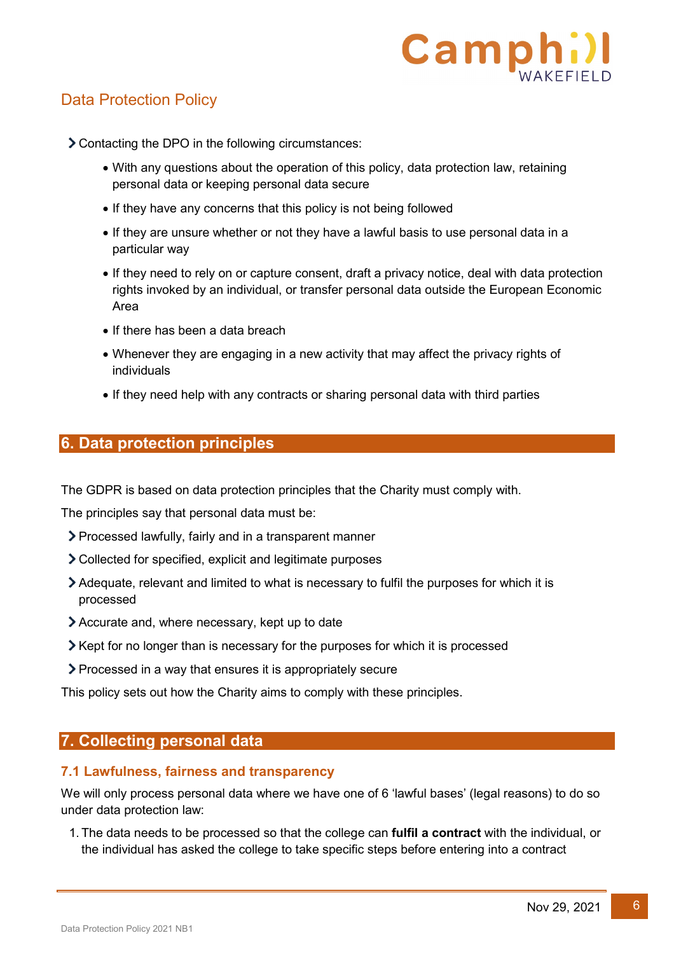

Contacting the DPO in the following circumstances:

- With any questions about the operation of this policy, data protection law, retaining personal data or keeping personal data secure
- If they have any concerns that this policy is not being followed
- If they are unsure whether or not they have a lawful basis to use personal data in a particular way
- If they need to rely on or capture consent, draft a privacy notice, deal with data protection rights invoked by an individual, or transfer personal data outside the European Economic Area
- If there has been a data breach
- Whenever they are engaging in a new activity that may affect the privacy rights of individuals
- If they need help with any contracts or sharing personal data with third parties

#### <span id="page-5-0"></span>**6. Data protection principles**

The GDPR is based on data protection principles that the Charity must comply with.

The principles say that personal data must be:

- Processed lawfully, fairly and in a transparent manner
- Collected for specified, explicit and legitimate purposes
- Adequate, relevant and limited to what is necessary to fulfil the purposes for which it is processed
- Accurate and, where necessary, kept up to date
- $\blacktriangleright$  Kept for no longer than is necessary for the purposes for which it is processed
- Processed in a way that ensures it is appropriately secure

This policy sets out how the Charity aims to comply with these principles.

#### <span id="page-5-1"></span>**7. Collecting personal data**

#### **7.1 Lawfulness, fairness and transparency**

We will only process personal data where we have one of 6 'lawful bases' (legal reasons) to do so under data protection law:

1. The data needs to be processed so that the college can **fulfil a contract** with the individual, or the individual has asked the college to take specific steps before entering into a contract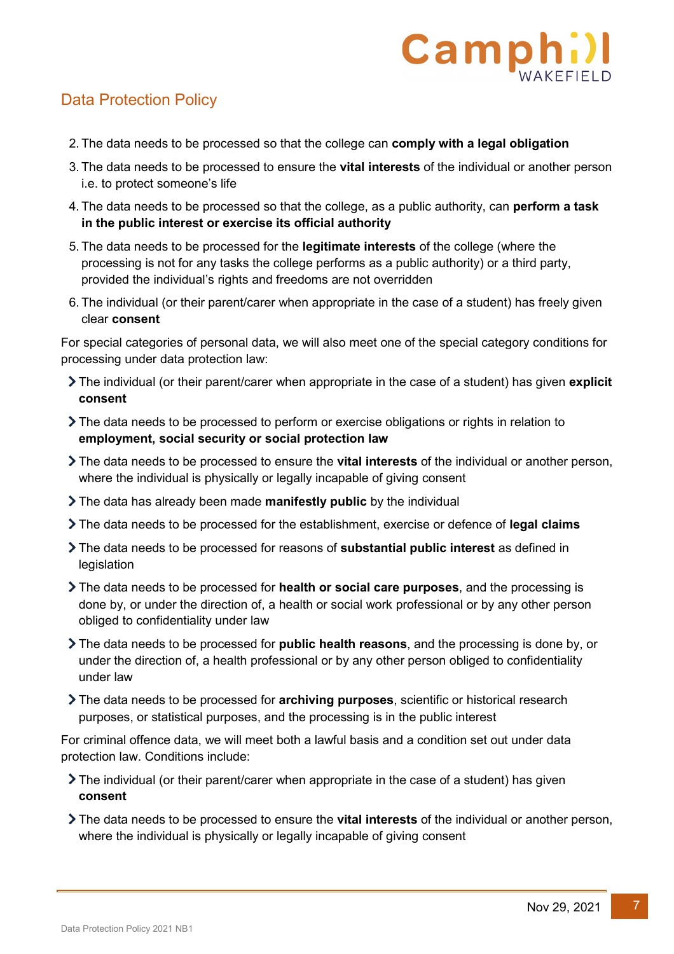

- 2. The data needs to be processed so that the college can **comply with a legal obligation**
- 3. The data needs to be processed to ensure the **vital interests** of the individual or another person i.e. to protect someone's life
- 4. The data needs to be processed so that the college, as a public authority, can **perform a task in the public interest or exercise its official authority**
- 5. The data needs to be processed for the **legitimate interests** of the college (where the processing is not for any tasks the college performs as a public authority) or a third party, provided the individual's rights and freedoms are not overridden
- 6. The individual (or their parent/carer when appropriate in the case of a student) has freely given clear **consent**

For special categories of personal data, we will also meet one of the special category conditions for processing under data protection law:

- The individual (or their parent/carer when appropriate in the case of a student) has given **explicit consent**
- The data needs to be processed to perform or exercise obligations or rights in relation to **employment, social security or social protection law**
- The data needs to be processed to ensure the **vital interests** of the individual or another person, where the individual is physically or legally incapable of giving consent
- The data has already been made **manifestly public** by the individual
- The data needs to be processed for the establishment, exercise or defence of **legal claims**
- The data needs to be processed for reasons of **substantial public interest** as defined in legislation
- The data needs to be processed for **health or social care purposes**, and the processing is done by, or under the direction of, a health or social work professional or by any other person obliged to confidentiality under law
- The data needs to be processed for **public health reasons**, and the processing is done by, or under the direction of, a health professional or by any other person obliged to confidentiality under law
- The data needs to be processed for **archiving purposes**, scientific or historical research purposes, or statistical purposes, and the processing is in the public interest

For criminal offence data, we will meet both a lawful basis and a condition set out under data protection law. Conditions include:

- The individual (or their parent/carer when appropriate in the case of a student) has given **consent**
- The data needs to be processed to ensure the **vital interests** of the individual or another person, where the individual is physically or legally incapable of giving consent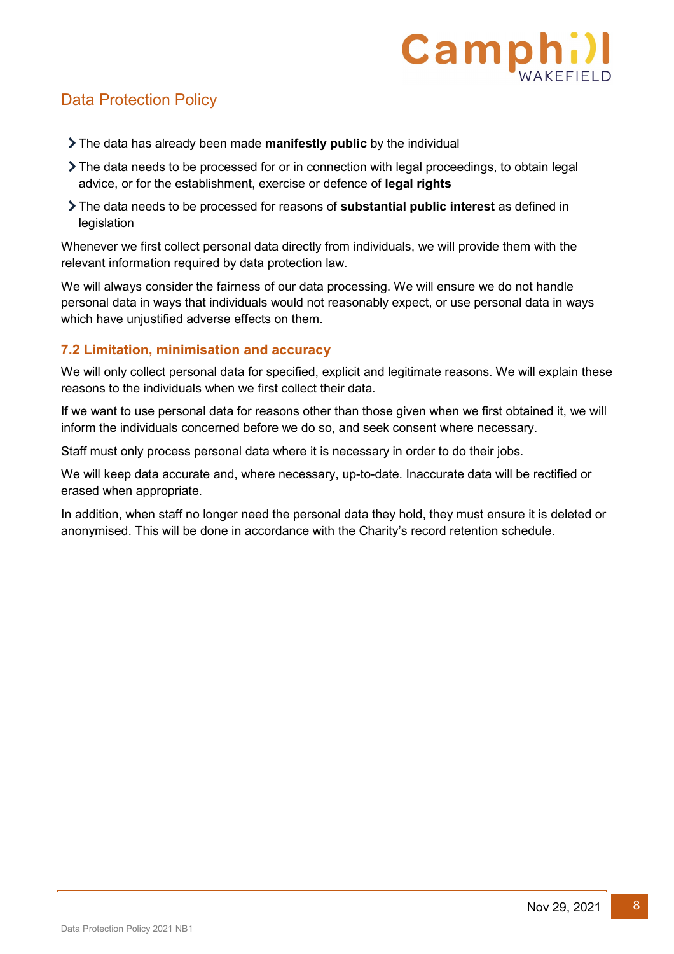

- The data has already been made **manifestly public** by the individual
- The data needs to be processed for or in connection with legal proceedings, to obtain legal advice, or for the establishment, exercise or defence of **legal rights**
- The data needs to be processed for reasons of **substantial public interest** as defined in legislation

Whenever we first collect personal data directly from individuals, we will provide them with the relevant information required by data protection law.

We will always consider the fairness of our data processing. We will ensure we do not handle personal data in ways that individuals would not reasonably expect, or use personal data in ways which have unjustified adverse effects on them.

#### **7.2 Limitation, minimisation and accuracy**

We will only collect personal data for specified, explicit and legitimate reasons. We will explain these reasons to the individuals when we first collect their data.

If we want to use personal data for reasons other than those given when we first obtained it, we will inform the individuals concerned before we do so, and seek consent where necessary.

Staff must only process personal data where it is necessary in order to do their jobs.

We will keep data accurate and, where necessary, up-to-date. Inaccurate data will be rectified or erased when appropriate.

In addition, when staff no longer need the personal data they hold, they must ensure it is deleted or anonymised. This will be done in accordance with the Charity's record retention schedule.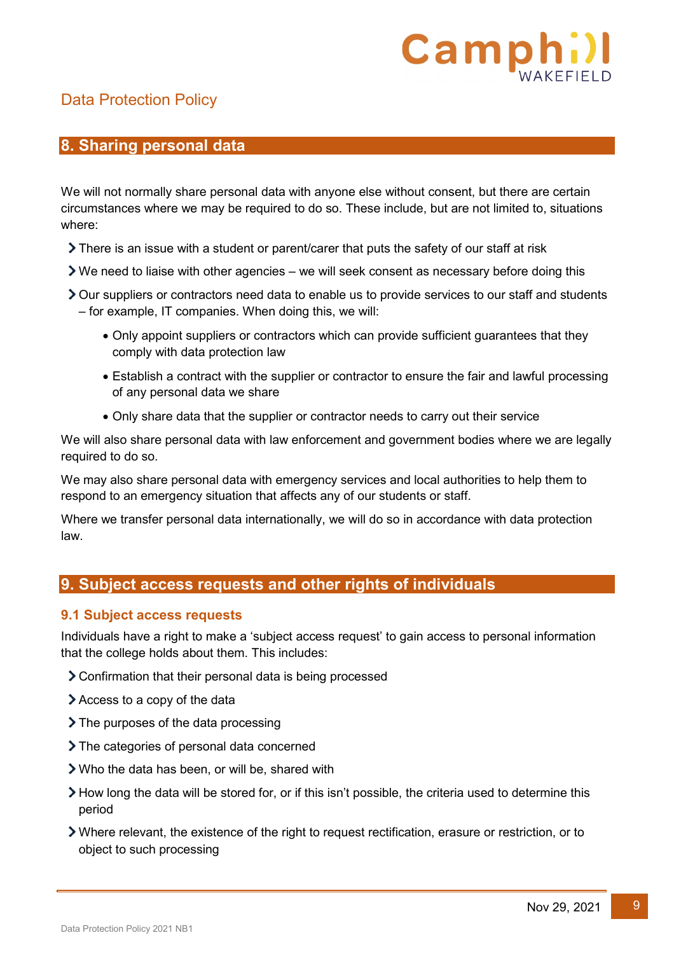

#### <span id="page-8-0"></span>**8. Sharing personal data**

We will not normally share personal data with anyone else without consent, but there are certain circumstances where we may be required to do so. These include, but are not limited to, situations where:

- $\triangleright$  There is an issue with a student or parent/carer that puts the safety of our staff at risk
- We need to liaise with other agencies we will seek consent as necessary before doing this
- Our suppliers or contractors need data to enable us to provide services to our staff and students – for example, IT companies. When doing this, we will:
	- Only appoint suppliers or contractors which can provide sufficient guarantees that they comply with data protection law
	- Establish a contract with the supplier or contractor to ensure the fair and lawful processing of any personal data we share
	- Only share data that the supplier or contractor needs to carry out their service

We will also share personal data with law enforcement and government bodies where we are legally required to do so.

We may also share personal data with emergency services and local authorities to help them to respond to an emergency situation that affects any of our students or staff.

Where we transfer personal data internationally, we will do so in accordance with data protection law.

#### <span id="page-8-1"></span>**9. Subject access requests and other rights of individuals**

#### **9.1 Subject access requests**

Individuals have a right to make a 'subject access request' to gain access to personal information that the college holds about them. This includes:

- Confirmation that their personal data is being processed
- Access to a copy of the data
- > The purposes of the data processing
- > The categories of personal data concerned
- Who the data has been, or will be, shared with
- $\geq$  How long the data will be stored for, or if this isn't possible, the criteria used to determine this period
- Where relevant, the existence of the right to request rectification, erasure or restriction, or to object to such processing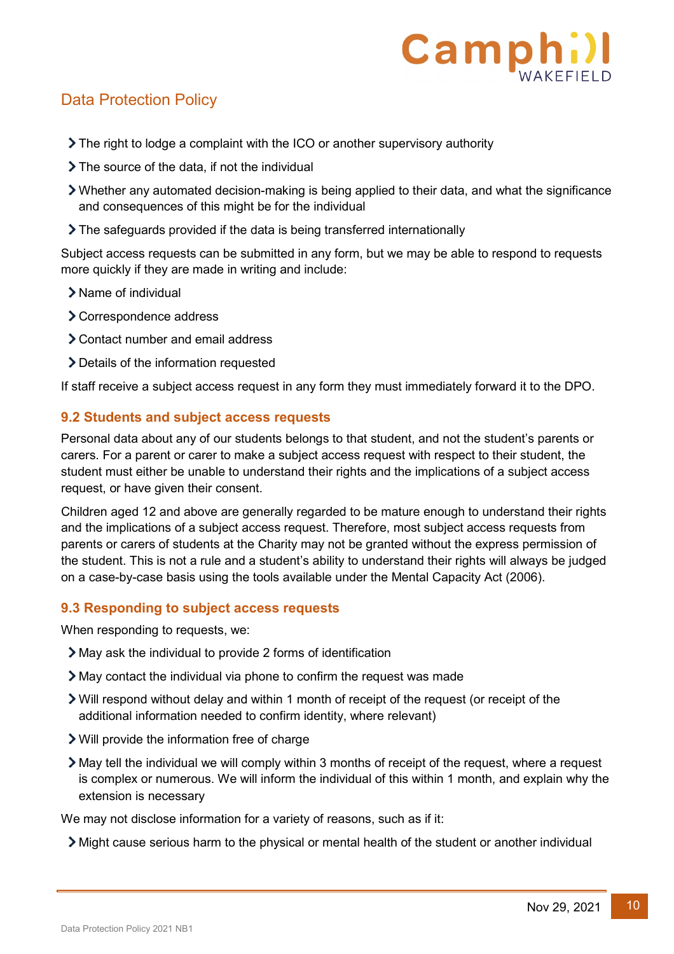

- The right to lodge a complaint with the ICO or another supervisory authority
- > The source of the data, if not the individual
- Whether any automated decision-making is being applied to their data, and what the significance and consequences of this might be for the individual
- The safeguards provided if the data is being transferred internationally

Subject access requests can be submitted in any form, but we may be able to respond to requests more quickly if they are made in writing and include:

- > Name of individual
- > Correspondence address
- Contact number and email address
- Details of the information requested

If staff receive a subject access request in any form they must immediately forward it to the DPO.

#### **9.2 Students and subject access requests**

Personal data about any of our students belongs to that student, and not the student's parents or carers. For a parent or carer to make a subject access request with respect to their student, the student must either be unable to understand their rights and the implications of a subject access request, or have given their consent.

Children aged 12 and above are generally regarded to be mature enough to understand their rights and the implications of a subject access request. Therefore, most subject access requests from parents or carers of students at the Charity may not be granted without the express permission of the student. This is not a rule and a student's ability to understand their rights will always be judged on a case-by-case basis using the tools available under the Mental Capacity Act (2006).

#### **9.3 Responding to subject access requests**

When responding to requests, we:

- May ask the individual to provide 2 forms of identification
- May contact the individual via phone to confirm the request was made
- Will respond without delay and within 1 month of receipt of the request (or receipt of the additional information needed to confirm identity, where relevant)
- Will provide the information free of charge
- May tell the individual we will comply within 3 months of receipt of the request, where a request is complex or numerous. We will inform the individual of this within 1 month, and explain why the extension is necessary

We may not disclose information for a variety of reasons, such as if it:

Might cause serious harm to the physical or mental health of the student or another individual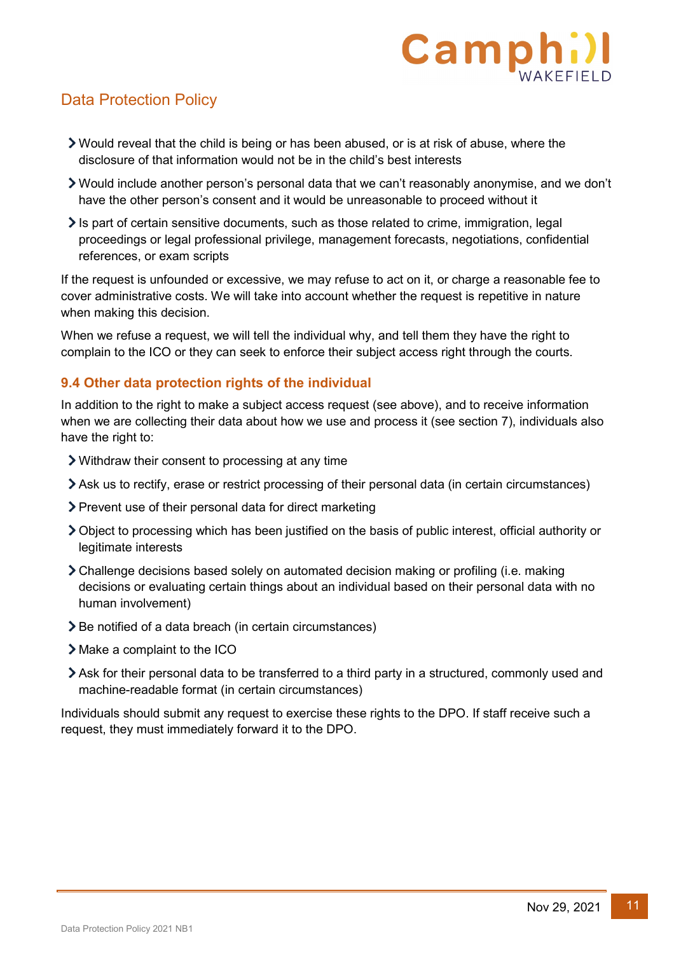

- Would reveal that the child is being or has been abused, or is at risk of abuse, where the disclosure of that information would not be in the child's best interests
- Would include another person's personal data that we can't reasonably anonymise, and we don't have the other person's consent and it would be unreasonable to proceed without it
- $\ge$  Is part of certain sensitive documents, such as those related to crime, immigration, legal proceedings or legal professional privilege, management forecasts, negotiations, confidential references, or exam scripts

If the request is unfounded or excessive, we may refuse to act on it, or charge a reasonable fee to cover administrative costs. We will take into account whether the request is repetitive in nature when making this decision.

When we refuse a request, we will tell the individual why, and tell them they have the right to complain to the ICO or they can seek to enforce their subject access right through the courts.

#### **9.4 Other data protection rights of the individual**

In addition to the right to make a subject access request (see above), and to receive information when we are collecting their data about how we use and process it (see section 7), individuals also have the right to:

- Withdraw their consent to processing at any time
- Ask us to rectify, erase or restrict processing of their personal data (in certain circumstances)
- Prevent use of their personal data for direct marketing
- Object to processing which has been justified on the basis of public interest, official authority or legitimate interests
- Challenge decisions based solely on automated decision making or profiling (i.e. making decisions or evaluating certain things about an individual based on their personal data with no human involvement)
- **>** Be notified of a data breach (in certain circumstances)
- Make a complaint to the ICO
- Ask for their personal data to be transferred to a third party in a structured, commonly used and machine-readable format (in certain circumstances)

Individuals should submit any request to exercise these rights to the DPO. If staff receive such a request, they must immediately forward it to the DPO.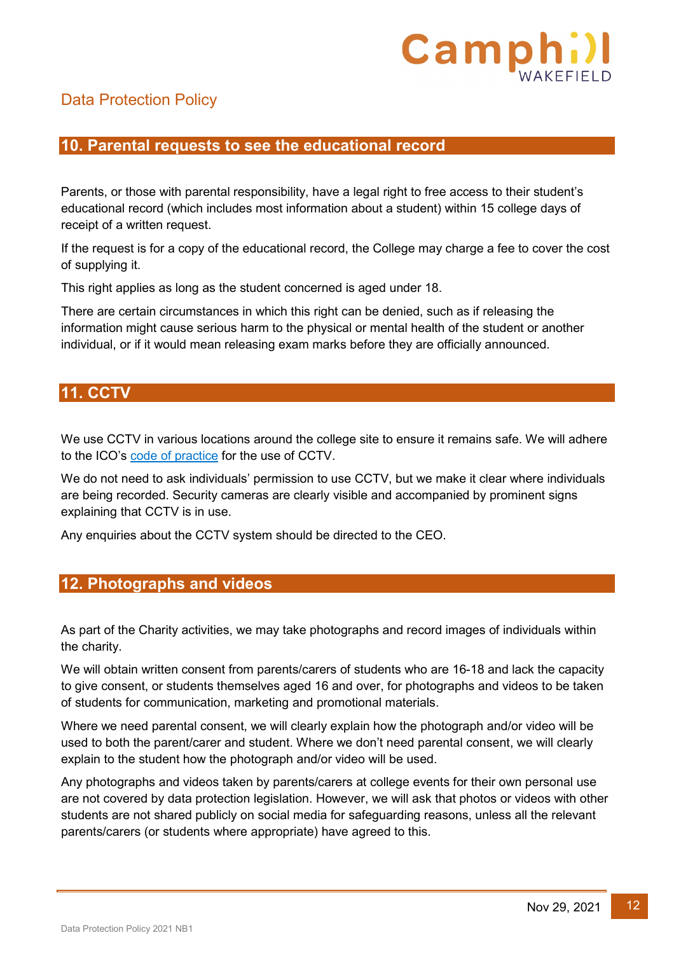

#### <span id="page-11-0"></span>**10. Parental requests to see the educational record**

Parents, or those with parental responsibility, have a legal right to free access to their student's educational record (which includes most information about a student) within 15 college days of receipt of a written request.

If the request is for a copy of the educational record, the College may charge a fee to cover the cost of supplying it.

This right applies as long as the student concerned is aged under 18.

There are certain circumstances in which this right can be denied, such as if releasing the information might cause serious harm to the physical or mental health of the student or another individual, or if it would mean releasing exam marks before they are officially announced.

#### <span id="page-11-1"></span>**11. CCTV**

We use CCTV in various locations around the college site to ensure it remains safe. We will adhere to the ICO's [code of practice](https://ico.org.uk/media/for-organisations/documents/1542/cctv-code-of-practice.pdf) for the use of CCTV.

We do not need to ask individuals' permission to use CCTV, but we make it clear where individuals are being recorded. Security cameras are clearly visible and accompanied by prominent signs explaining that CCTV is in use.

Any enquiries about the CCTV system should be directed to the CEO.

#### <span id="page-11-2"></span>**12. Photographs and videos**

As part of the Charity activities, we may take photographs and record images of individuals within the charity.

We will obtain written consent from parents/carers of students who are 16-18 and lack the capacity to give consent, or students themselves aged 16 and over, for photographs and videos to be taken of students for communication, marketing and promotional materials.

Where we need parental consent, we will clearly explain how the photograph and/or video will be used to both the parent/carer and student. Where we don't need parental consent, we will clearly explain to the student how the photograph and/or video will be used.

Any photographs and videos taken by parents/carers at college events for their own personal use are not covered by data protection legislation. However, we will ask that photos or videos with other students are not shared publicly on social media for safeguarding reasons, unless all the relevant parents/carers (or students where appropriate) have agreed to this.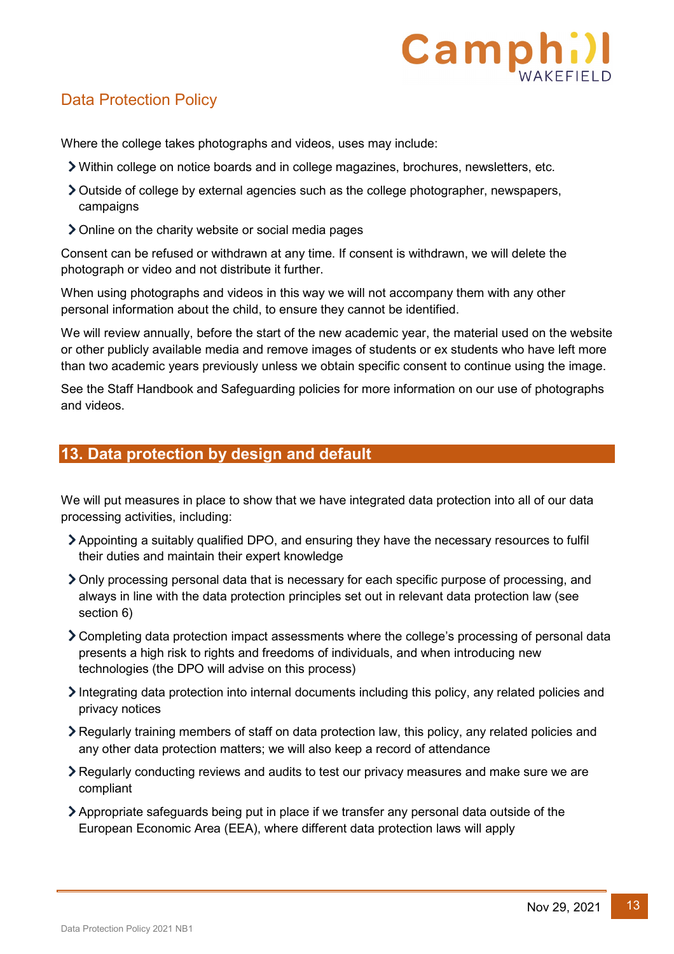

Where the college takes photographs and videos, uses may include:

- Within college on notice boards and in college magazines, brochures, newsletters, etc.
- Outside of college by external agencies such as the college photographer, newspapers, campaigns
- Online on the charity website or social media pages

Consent can be refused or withdrawn at any time. If consent is withdrawn, we will delete the photograph or video and not distribute it further.

When using photographs and videos in this way we will not accompany them with any other personal information about the child, to ensure they cannot be identified.

We will review annually, before the start of the new academic year, the material used on the website or other publicly available media and remove images of students or ex students who have left more than two academic years previously unless we obtain specific consent to continue using the image.

See the Staff Handbook and Safeguarding policies for more information on our use of photographs and videos.

#### <span id="page-12-0"></span>**13. Data protection by design and default**

We will put measures in place to show that we have integrated data protection into all of our data processing activities, including:

- Appointing a suitably qualified DPO, and ensuring they have the necessary resources to fulfil their duties and maintain their expert knowledge
- Only processing personal data that is necessary for each specific purpose of processing, and always in line with the data protection principles set out in relevant data protection law (see section 6)
- Completing data protection impact assessments where the college's processing of personal data presents a high risk to rights and freedoms of individuals, and when introducing new technologies (the DPO will advise on this process)
- Integrating data protection into internal documents including this policy, any related policies and privacy notices
- Regularly training members of staff on data protection law, this policy, any related policies and any other data protection matters; we will also keep a record of attendance
- Regularly conducting reviews and audits to test our privacy measures and make sure we are compliant
- Appropriate safeguards being put in place if we transfer any personal data outside of the European Economic Area (EEA), where different data protection laws will apply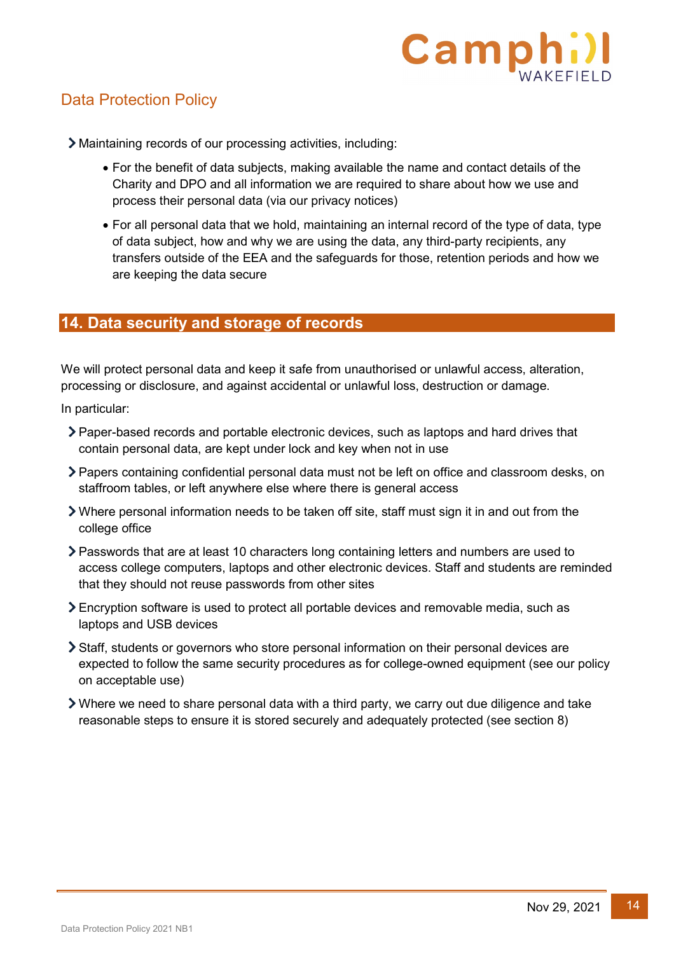

Maintaining records of our processing activities, including:

- For the benefit of data subjects, making available the name and contact details of the Charity and DPO and all information we are required to share about how we use and process their personal data (via our privacy notices)
- For all personal data that we hold, maintaining an internal record of the type of data, type of data subject, how and why we are using the data, any third-party recipients, any transfers outside of the EEA and the safeguards for those, retention periods and how we are keeping the data secure

#### <span id="page-13-0"></span>**14. Data security and storage of records**

We will protect personal data and keep it safe from unauthorised or unlawful access, alteration, processing or disclosure, and against accidental or unlawful loss, destruction or damage.

In particular:

- Paper-based records and portable electronic devices, such as laptops and hard drives that contain personal data, are kept under lock and key when not in use
- Papers containing confidential personal data must not be left on office and classroom desks, on staffroom tables, or left anywhere else where there is general access
- Where personal information needs to be taken off site, staff must sign it in and out from the college office
- Passwords that are at least 10 characters long containing letters and numbers are used to access college computers, laptops and other electronic devices. Staff and students are reminded that they should not reuse passwords from other sites
- Encryption software is used to protect all portable devices and removable media, such as laptops and USB devices
- Staff, students or governors who store personal information on their personal devices are expected to follow the same security procedures as for college-owned equipment (see our policy on acceptable use)
- Where we need to share personal data with a third party, we carry out due diligence and take reasonable steps to ensure it is stored securely and adequately protected (see section 8)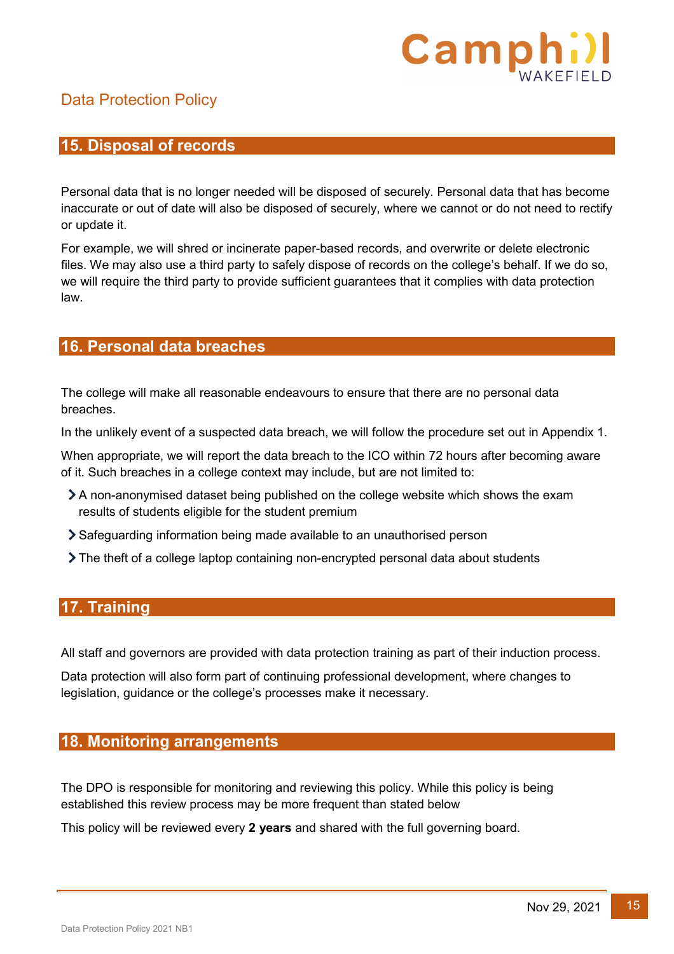

#### <span id="page-14-0"></span>**15. Disposal of records**

Personal data that is no longer needed will be disposed of securely. Personal data that has become inaccurate or out of date will also be disposed of securely, where we cannot or do not need to rectify or update it.

For example, we will shred or incinerate paper-based records, and overwrite or delete electronic files. We may also use a third party to safely dispose of records on the college's behalf. If we do so, we will require the third party to provide sufficient guarantees that it complies with data protection law.

#### <span id="page-14-1"></span>**16. Personal data breaches**

The college will make all reasonable endeavours to ensure that there are no personal data breaches.

In the unlikely event of a suspected data breach, we will follow the procedure set out in Appendix 1.

When appropriate, we will report the data breach to the ICO within 72 hours after becoming aware of it. Such breaches in a college context may include, but are not limited to:

- A non-anonymised dataset being published on the college website which shows the exam results of students eligible for the student premium
- Safeguarding information being made available to an unauthorised person
- The theft of a college laptop containing non-encrypted personal data about students

#### <span id="page-14-2"></span>**17. Training**

All staff and governors are provided with data protection training as part of their induction process.

Data protection will also form part of continuing professional development, where changes to legislation, guidance or the college's processes make it necessary.

#### <span id="page-14-3"></span>**18. Monitoring arrangements**

The DPO is responsible for monitoring and reviewing this policy. While this policy is being established this review process may be more frequent than stated below

This policy will be reviewed every **2 years** and shared with the full governing board.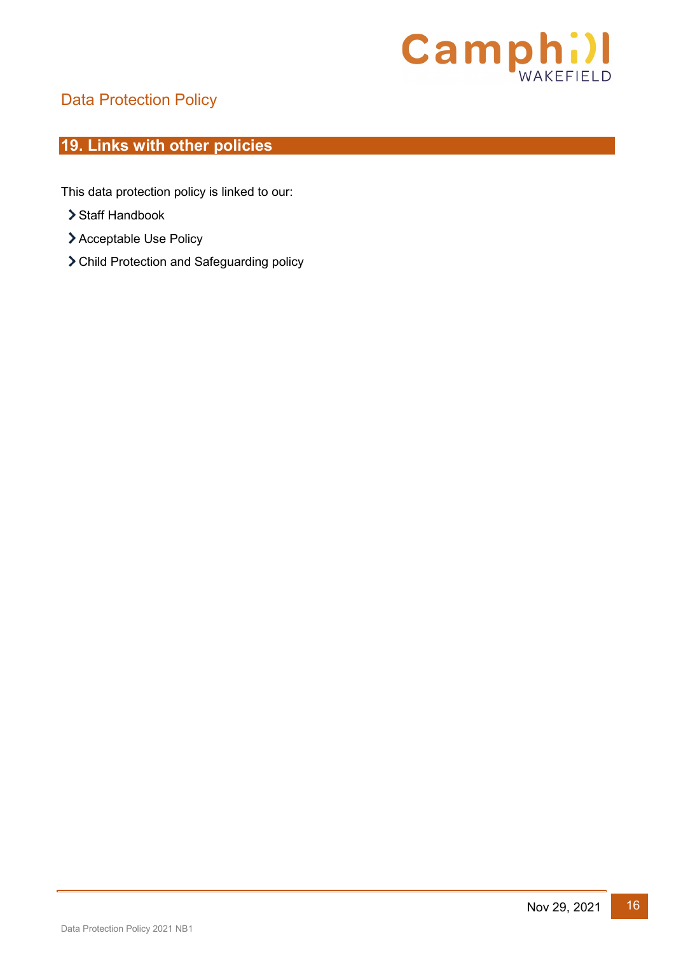

# <span id="page-15-0"></span>**19. Links with other policies**

This data protection policy is linked to our:

- > Staff Handbook
- Acceptable Use Policy
- Child Protection and Safeguarding policy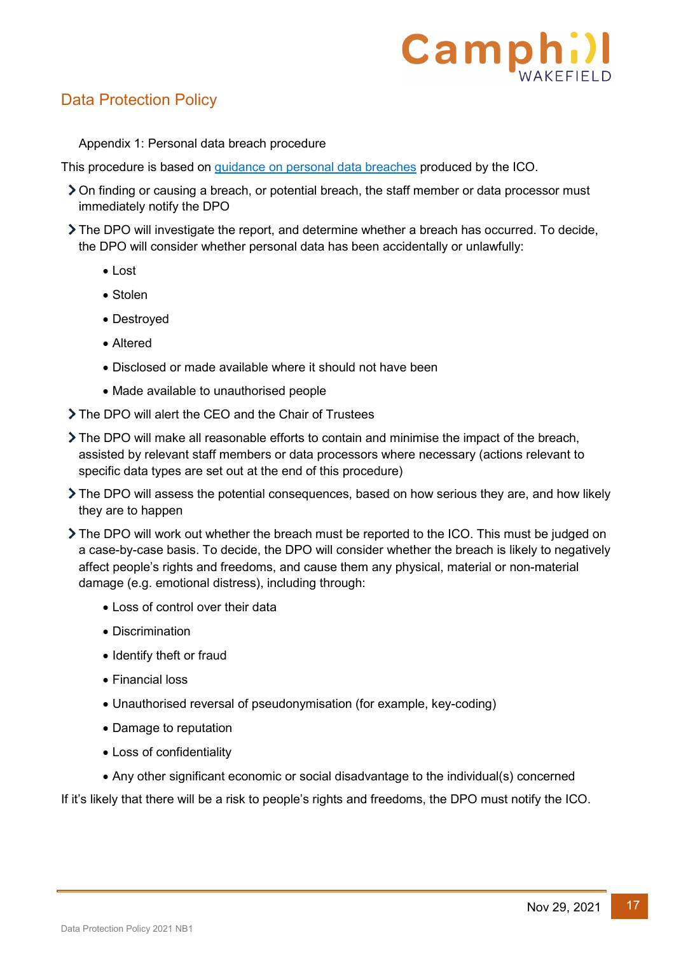# Camph

# Data Protection Policy

Appendix 1: Personal data breach procedure

This procedure is based on [guidance on personal data breaches](https://ico.org.uk/for-organisations/guide-to-the-general-data-protection-regulation-gdpr/personal-data-breaches/) produced by the ICO.

- On finding or causing a breach, or potential breach, the staff member or data processor must immediately notify the DPO
- The DPO will investigate the report, and determine whether a breach has occurred. To decide, the DPO will consider whether personal data has been accidentally or unlawfully:
	- Lost
	- Stolen
	- Destroyed
	- Altered
	- Disclosed or made available where it should not have been
	- Made available to unauthorised people
- The DPO will alert the CEO and the Chair of Trustees
- The DPO will make all reasonable efforts to contain and minimise the impact of the breach, assisted by relevant staff members or data processors where necessary (actions relevant to specific data types are set out at the end of this procedure)
- The DPO will assess the potential consequences, based on how serious they are, and how likely they are to happen
- The DPO will work out whether the breach must be reported to the ICO. This must be judged on a case-by-case basis. To decide, the DPO will consider whether the breach is likely to negatively affect people's rights and freedoms, and cause them any physical, material or non-material damage (e.g. emotional distress), including through:
	- Loss of control over their data
	- Discrimination
	- Identify theft or fraud
	- Financial loss
	- Unauthorised reversal of pseudonymisation (for example, key-coding)
	- Damage to reputation
	- Loss of confidentiality
	- Any other significant economic or social disadvantage to the individual(s) concerned

If it's likely that there will be a risk to people's rights and freedoms, the DPO must notify the ICO.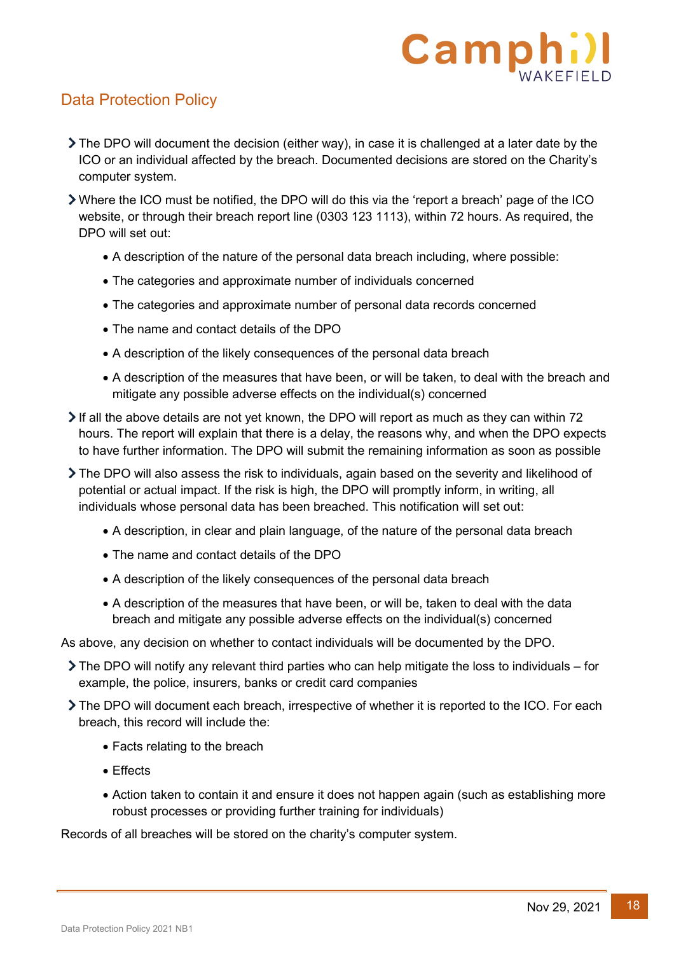# Campl

# Data Protection Policy

- $\triangleright$  The DPO will document the decision (either way), in case it is challenged at a later date by the ICO or an individual affected by the breach. Documented decisions are stored on the Charity's computer system.
- Where the ICO must be notified, the DPO will do this via the ['report a breach' page](https://ico.org.uk/for-organisations/report-a-breach/) of the ICO website, or through their breach report line (0303 123 1113), within 72 hours. As required, the DPO will set out:
	- A description of the nature of the personal data breach including, where possible:
	- The categories and approximate number of individuals concerned
	- The categories and approximate number of personal data records concerned
	- The name and contact details of the DPO
	- A description of the likely consequences of the personal data breach
	- A description of the measures that have been, or will be taken, to deal with the breach and mitigate any possible adverse effects on the individual(s) concerned
- If all the above details are not yet known, the DPO will report as much as they can within 72 hours. The report will explain that there is a delay, the reasons why, and when the DPO expects to have further information. The DPO will submit the remaining information as soon as possible
- The DPO will also assess the risk to individuals, again based on the severity and likelihood of potential or actual impact. If the risk is high, the DPO will promptly inform, in writing, all individuals whose personal data has been breached. This notification will set out:
	- A description, in clear and plain language, of the nature of the personal data breach
	- The name and contact details of the DPO
	- A description of the likely consequences of the personal data breach
	- A description of the measures that have been, or will be, taken to deal with the data breach and mitigate any possible adverse effects on the individual(s) concerned

As above, any decision on whether to contact individuals will be documented by the DPO.

- $\triangleright$  The DPO will notify any relevant third parties who can help mitigate the loss to individuals for example, the police, insurers, banks or credit card companies
- The DPO will document each breach, irrespective of whether it is reported to the ICO. For each breach, this record will include the:
	- Facts relating to the breach
	- Effects
	- Action taken to contain it and ensure it does not happen again (such as establishing more robust processes or providing further training for individuals)

Records of all breaches will be stored on the charity's computer system.